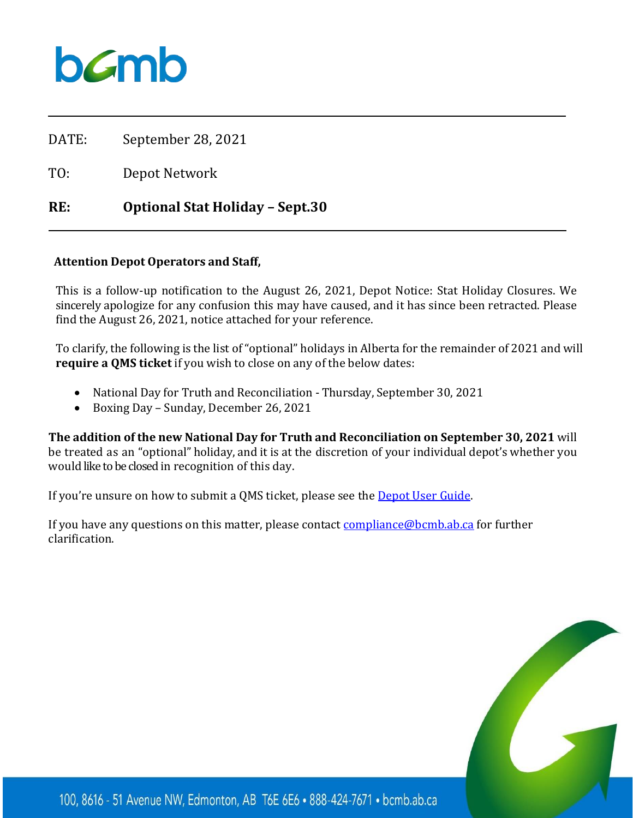

DATE: September 28, 2021

TO: Depot Network

## **RE: Optional Stat Holiday – Sept.30**

## **Attention Depot Operators and Staff,**

This is a follow-up notification to the August 26, 2021, Depot Notice: Stat Holiday Closures. We sincerely apologize for any confusion this may have caused, and it has since been retracted. Please find the August 26, 2021, notice attached for your reference.

To clarify, the following is the list of "optional" holidays in Alberta for the remainder of 2021 and will **require a QMS ticket** if you wish to close on any of the below dates:

- National Day for Truth and Reconciliation Thursday, September 30, 2021
- Boxing Day Sunday, December 26, 2021

**The addition of the new National Day for Truth and Reconciliation on September 30, 2021** will be treated as an "optional" holiday, and it is at the discretion of your individual depot's whether you would like to be closed in recognition of this day.

If you're unsure on how to submit a QMS ticket, please see the [Depot User Guide.](https://www.bcmb.ab.ca/uploads/source/Depot_Tools_%26_Guidelines/QMS_Guide/2019.10.09.Depot.Quality.Monitoring.System.User.Guide.pdf)

If you have any questions on this matter, please contact **compliance@bcmb.ab.ca** for further clarification.



100, 8616 - 51 Avenue NW, Edmonton, AB T6E 6E6 . 888-424-7671 . bcmb.ab.ca